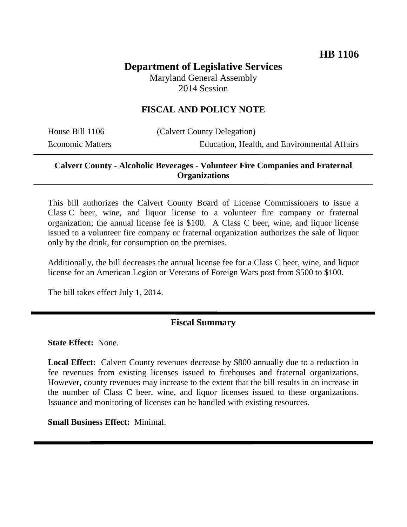# **Department of Legislative Services**

Maryland General Assembly 2014 Session

# **FISCAL AND POLICY NOTE**

| House Bill 1106         |  |
|-------------------------|--|
| <b>Economic Matters</b> |  |

alvert County Delegation) Education, Health, and Environmental Affairs

## **Calvert County - Alcoholic Beverages - Volunteer Fire Companies and Fraternal Organizations**

This bill authorizes the Calvert County Board of License Commissioners to issue a Class C beer, wine, and liquor license to a volunteer fire company or fraternal organization; the annual license fee is \$100. A Class C beer, wine, and liquor license issued to a volunteer fire company or fraternal organization authorizes the sale of liquor only by the drink, for consumption on the premises.

Additionally, the bill decreases the annual license fee for a Class C beer, wine, and liquor license for an American Legion or Veterans of Foreign Wars post from \$500 to \$100.

The bill takes effect July 1, 2014.

#### **Fiscal Summary**

**State Effect:** None.

**Local Effect:** Calvert County revenues decrease by \$800 annually due to a reduction in fee revenues from existing licenses issued to firehouses and fraternal organizations. However, county revenues may increase to the extent that the bill results in an increase in the number of Class C beer, wine, and liquor licenses issued to these organizations. Issuance and monitoring of licenses can be handled with existing resources.

**Small Business Effect:** Minimal.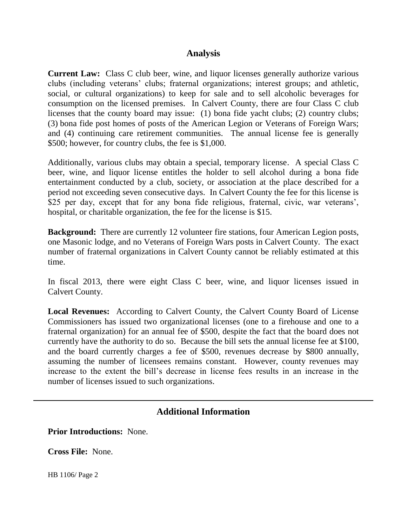## **Analysis**

**Current Law:** Class C club beer, wine, and liquor licenses generally authorize various clubs (including veterans' clubs; fraternal organizations; interest groups; and athletic, social, or cultural organizations) to keep for sale and to sell alcoholic beverages for consumption on the licensed premises. In Calvert County, there are four Class C club licenses that the county board may issue: (1) bona fide yacht clubs; (2) country clubs; (3) bona fide post homes of posts of the American Legion or Veterans of Foreign Wars; and (4) continuing care retirement communities. The annual license fee is generally \$500; however, for country clubs, the fee is \$1,000.

Additionally, various clubs may obtain a special, temporary license. A special Class C beer, wine, and liquor license entitles the holder to sell alcohol during a bona fide entertainment conducted by a club, society, or association at the place described for a period not exceeding seven consecutive days. In Calvert County the fee for this license is \$25 per day, except that for any bona fide religious, fraternal, civic, war veterans', hospital, or charitable organization, the fee for the license is \$15.

**Background:** There are currently 12 volunteer fire stations, four American Legion posts, one Masonic lodge, and no Veterans of Foreign Wars posts in Calvert County. The exact number of fraternal organizations in Calvert County cannot be reliably estimated at this time.

In fiscal 2013, there were eight Class C beer, wine, and liquor licenses issued in Calvert County.

**Local Revenues:** According to Calvert County, the Calvert County Board of License Commissioners has issued two organizational licenses (one to a firehouse and one to a fraternal organization) for an annual fee of \$500, despite the fact that the board does not currently have the authority to do so. Because the bill sets the annual license fee at \$100, and the board currently charges a fee of \$500, revenues decrease by \$800 annually, assuming the number of licensees remains constant. However, county revenues may increase to the extent the bill's decrease in license fees results in an increase in the number of licenses issued to such organizations.

# **Additional Information**

**Prior Introductions:** None.

**Cross File:** None.

HB 1106/ Page 2